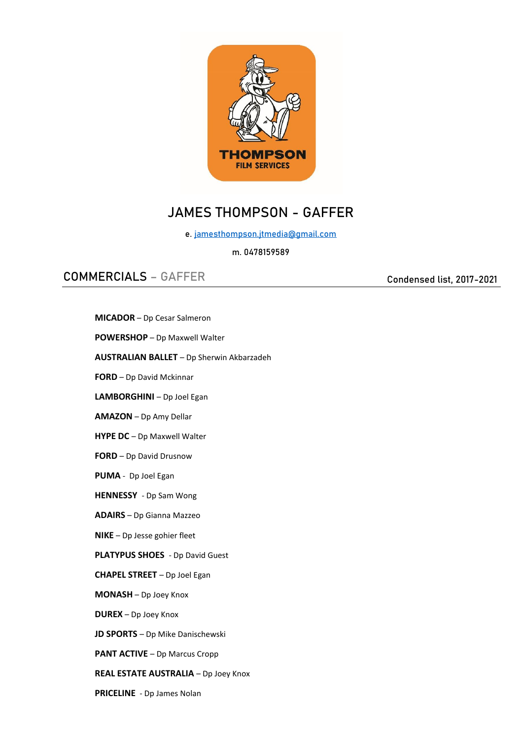

# JAMES THOMPSON - GAFFER

e. [jamesthompson.jtmedia@gmail.com](mailto:jamesthompson.jtmedia@gmail.com)

### m. 0478159589

# COMMERCIALS – GAFFER

Condensed list, 2017-2021

**REAL ESTATE AUSTRALIA** – Dp Joey Knox

**PRICELINE** - Dp James Nolan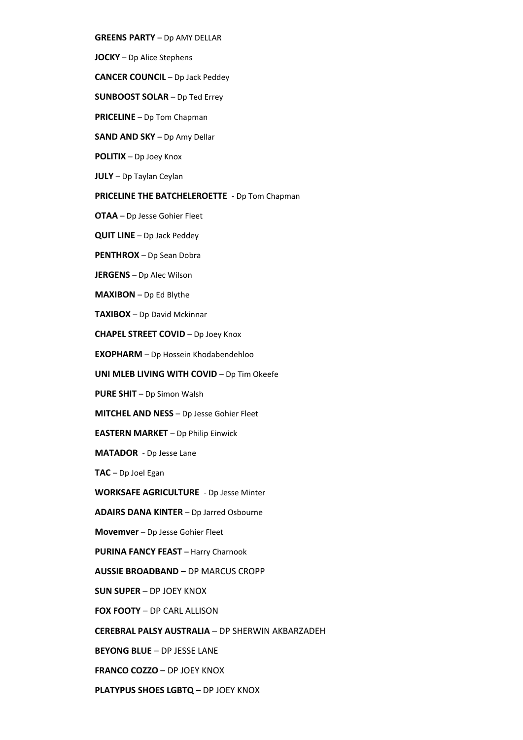- **GREENS PARTY** Dp AMY DELLAR
- **JOCKY** Dp Alice Stephens
- **CANCER COUNCIL** Dp Jack Peddey
- **SUNBOOST SOLAR** Dp Ted Errey
- **PRICELINE** Dp Tom Chapman
- **SAND AND SKY** Dp Amy Dellar
- **POLITIX**  Dp Joey Knox
- **JULY**  Dp Taylan Ceylan

#### **PRICELINE THE BATCHELEROETTE** - Dp Tom Chapman

- **OTAA** Dp Jesse Gohier Fleet
- **QUIT LINE** Dp Jack Peddey
- **PENTHROX**  Dp Sean Dobra
- **JERGENS**  Dp Alec Wilson
- **MAXIBON**  Dp Ed Blythe
- **TAXIBOX**  Dp David Mckinnar
- **CHAPEL STREET COVID**  Dp Joey Knox
- **EXOPHARM**  Dp Hossein Khodabendehloo
- **UNI MLEB LIVING WITH COVID** Dp Tim Okeefe
- **PURE SHIT**  Dp Simon Walsh
- **MITCHEL AND NESS**  Dp Jesse Gohier Fleet
- **EASTERN MARKET**  Dp Philip Einwick
- **MATADOR**  Dp Jesse Lane
- **TAC**  Dp Joel Egan
- **WORKSAFE AGRICULTURE**  Dp Jesse Minter
- **ADAIRS DANA KINTER**  Dp Jarred Osbourne
- **Movemver**  Dp Jesse Gohier Fleet
- **PURINA FANCY FEAST** Harry Charnook
- **AUSSIE BROADBAND**  DP MARCUS CROPP
- **SUN SUPER**  DP JOEY KNOX
- **FOX FOOTY**  DP CARL ALLISON
- **CEREBRAL PALSY AUSTRALIA**  DP SHERWIN AKBARZADEH
- **BEYONG BLUE**  DP JESSE LANE
- **FRANCO COZZO**  DP JOEY KNOX
- **PLATYPUS SHOES LGBTQ**  DP JOEY KNOX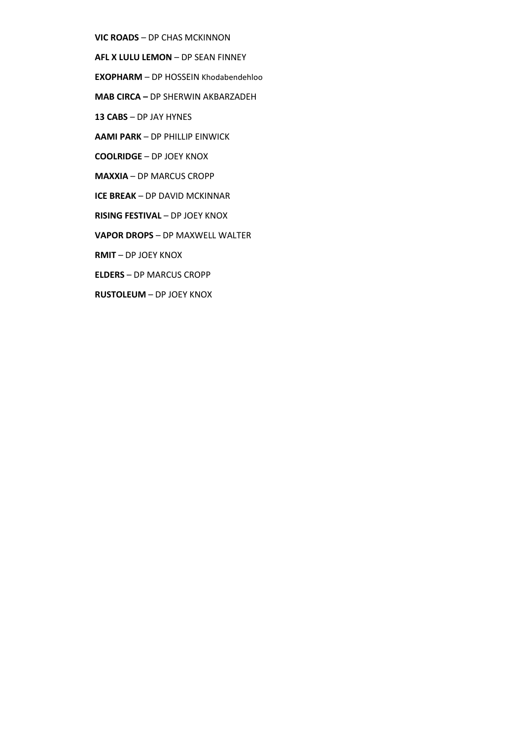- **VIC ROADS**  DP CHAS MCKINNON
- **AFL X LULU LEMON**  DP SEAN FINNEY
- **EXOPHARM**  DP HOSSEIN Khodabendehloo
- **MAB CIRCA –** DP SHERWIN AKBARZADEH
- **13 CABS**  DP JAY HYNES
- **AAMI PARK**  DP PHILLIP EINWICK
- **COOLRIDGE**  DP JOEY KNOX
- **MAXXIA**  DP MARCUS CROPP
- **ICE BREAK**  DP DAVID MCKINNAR
- **RISING FESTIVAL** DP JOEY KNOX
- **VAPOR DROPS**  DP MAXWELL WALTER
- **RMIT**  DP JOEY KNOX
- **ELDERS**  DP MARCUS CROPP
- **RUSTOLEUM**  DP JOEY KNOX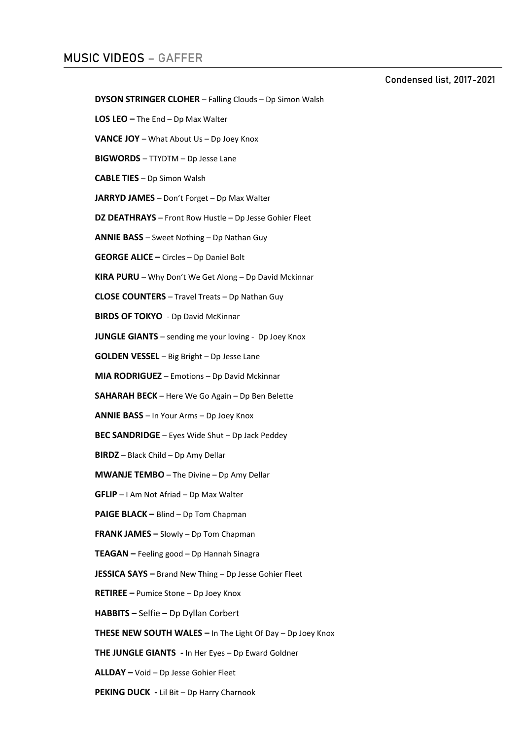## MUSIC VIDEOS – GAFFER

Condensed list, 2017-2021

```
DYSON STRINGER CLOHER – Falling Clouds – Dp Simon Walsh
```
**LOS LEO –** The End – Dp Max Walter

- **VANCE JOY**  What About Us Dp Joey Knox
- **BIGWORDS**  TTYDTM Dp Jesse Lane

**CABLE TIES** – Dp Simon Walsh

**JARRYD JAMES** – Don't Forget – Dp Max Walter

**DZ DEATHRAYS** – Front Row Hustle – Dp Jesse Gohier Fleet

**ANNIE BASS** – Sweet Nothing – Dp Nathan Guy

**GEORGE ALICE –** Circles – Dp Daniel Bolt

**KIRA PURU** – Why Don't We Get Along – Dp David Mckinnar

**CLOSE COUNTERS** – Travel Treats – Dp Nathan Guy

**BIRDS OF TOKYO** - Dp David McKinnar

**JUNGLE GIANTS** – sending me your loving - Dp Joey Knox

**GOLDEN VESSEL** – Big Bright – Dp Jesse Lane

**MIA RODRIGUEZ** – Emotions – Dp David Mckinnar

**SAHARAH BECK** – Here We Go Again – Dp Ben Belette

**ANNIE BASS** – In Your Arms – Dp Joey Knox

**BEC SANDRIDGE** – Eyes Wide Shut – Dp Jack Peddey

**BIRDZ** – Black Child – Dp Amy Dellar

**MWANJE TEMBO** – The Divine – Dp Amy Dellar

**GFLIP** – I Am Not Afriad – Dp Max Walter

**PAIGE BLACK –** Blind – Dp Tom Chapman

**FRANK JAMES –** Slowly – Dp Tom Chapman

**TEAGAN –** Feeling good – Dp Hannah Sinagra

**JESSICA SAYS –** Brand New Thing – Dp Jesse Gohier Fleet

**RETIREE –** Pumice Stone – Dp Joey Knox

**HABBITS –** Selfie – Dp Dyllan Corbert

**THESE NEW SOUTH WALES –** In The Light Of Day – Dp Joey Knox

**THE JUNGLE GIANTS -** In Her Eyes – Dp Eward Goldner

**ALLDAY –** Void – Dp Jesse Gohier Fleet

**PEKING DUCK -** Lil Bit – Dp Harry Charnook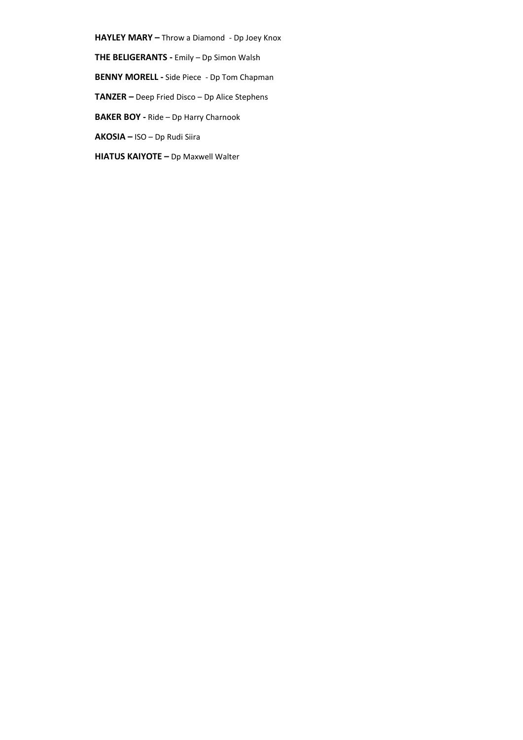**HAYLEY MARY –** Throw a Diamond - Dp Joey Knox

**THE BELIGERANTS -** Emily – Dp Simon Walsh

**BENNY MORELL -** Side Piece - Dp Tom Chapman

**TANZER –** Deep Fried Disco – Dp Alice Stephens

**BAKER BOY -** Ride – Dp Harry Charnook

**AKOSIA –** ISO – Dp Rudi Siira

**HIATUS KAIYOTE –** Dp Maxwell Walter